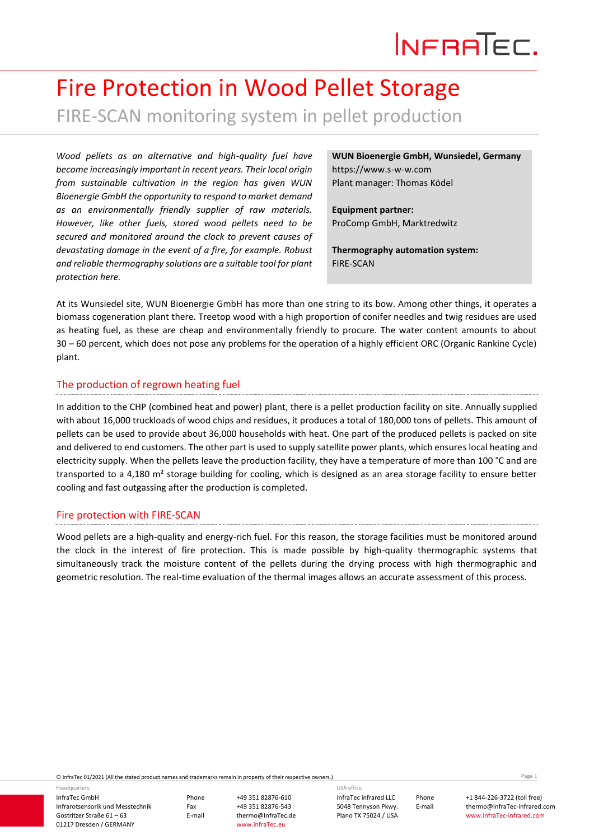# INFRATEC.

## Fire Protection in Wood Pellet Storage FIRE-SCAN monitoring system in pellet production

*Wood pellets as an alternative and high-quality fuel have become increasingly important in recent years. Their local origin from sustainable cultivation in the region has given WUN Bioenergie GmbH the opportunity to respond to market demand as an environmentally friendly supplier of raw materials. However, like other fuels, stored wood pellets need to be secured and monitored around the clock to prevent causes of devastating damage in the event of a fire, for example. Robust and reliable thermography solutions are a suitable tool for plant protection here.*

**WUN Bioenergie GmbH, Wunsiedel, Germany** https:/[/www.s-w-w.com](http://www.s-w-w.com/) Plant manager: Thomas Ködel

**Equipment partner:**  ProComp GmbH, Marktredwitz

**Thermography automation system:** FIRE-SCAN

At its Wunsiedel site, WUN Bioenergie GmbH has more than one string to its bow. Among other things, it operates a biomass cogeneration plant there. Treetop wood with a high proportion of conifer needles and twig residues are used as heating fuel, as these are cheap and environmentally friendly to procure. The water content amounts to about 30 – 60 percent, which does not pose any problems for the operation of a highly efficient ORC (Organic Rankine Cycle) plant.

#### The production of regrown heating fuel

In addition to the CHP (combined heat and power) plant, there is a pellet production facility on site. Annually supplied with about 16,000 truckloads of wood chips and residues, it produces a total of 180,000 tons of pellets. This amount of pellets can be used to provide about 36,000 households with heat. One part of the produced pellets is packed on site and delivered to end customers. The other part is used to supply satellite power plants, which ensures local heating and electricity supply. When the pellets leave the production facility, they have a temperature of more than 100 °C and are transported to a 4,180 m² storage building for cooling, which is designed as an area storage facility to ensure better cooling and fast outgassing after the production is completed.

#### Fire protection with FIRE-SCAN

Wood pellets are a high-quality and energy-rich fuel. For this reason, the storage facilities must be monitored around the clock in the interest of fire protection. This is made possible by high-quality thermographic systems that simultaneously track the moisture content of the pellets during the drying process with high thermographic and geometric resolution. The real-time evaluation of the thermal images allows an accurate assessment of this process.

© InfraTec 01/2021 (All the stated product names and trademarks remain in property of their respective owners.) Page **1**

InfraTec GmbH Infrarotsensorik und Messtechnik Gostritzer Straße 61 – 63 01217 Dresden / GERMANY Headquarters

Phone +49 351 82876-610 Fax +49 351 82876-543<br>E-mail thermo@InfraTec.d

thermo@InfraTec.de www.InfraTec.eu

InfraTec infrared LLC 5048 Tennyson Pkwy. Plano TX 75024 / USA USA office

Phone +1 844-226-3722 (toll free) E-mail thermo@InfraTec-infrared.com www.InfraTec-infrared.com